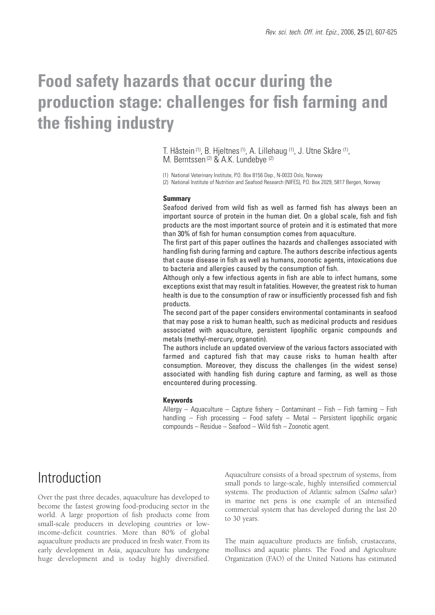# **Food safety hazards that occur during the production stage: challenges for fish farming and the fishing industry**

T. Håstein<sup>(1)</sup>, B. Hjeltnes<sup>(1)</sup>, A. Lillehaug<sup>(1)</sup>, J. Utne Skåre<sup>(1)</sup>, M. Berntssen<sup>(2)</sup> & A.K. Lundebye<sup>(2)</sup>

(1) National Veterinary Institute, P.O. Box 8156 Dep., N-0033 Oslo, Norway (2) National Institute of Nutrition and Seafood Research (NIFES), P.O. Box 2029, 5817 Bergen, Norway

#### **Summary**

Seafood derived from wild fish as well as farmed fish has always been an important source of protein in the human diet. On a global scale, fish and fish products are the most important source of protein and it is estimated that more than 30% of fish for human consumption comes from aquaculture.

The first part of this paper outlines the hazards and challenges associated with handling fish during farming and capture. The authors describe infectious agents that cause disease in fish as well as humans, zoonotic agents, intoxications due to bacteria and allergies caused by the consumption of fish.

Although only a few infectious agents in fish are able to infect humans, some exceptions exist that may result in fatalities. However, the greatest risk to human health is due to the consumption of raw or insufficiently processed fish and fish products.

The second part of the paper considers environmental contaminants in seafood that may pose a risk to human health, such as medicinal products and residues associated with aquaculture, persistent lipophilic organic compounds and metals (methyl-mercury, organotin).

The authors include an updated overview of the various factors associated with farmed and captured fish that may cause risks to human health after consumption. Moreover, they discuss the challenges (in the widest sense) associated with handling fish during capture and farming, as well as those encountered during processing.

#### **Keywords**

Allergy – Aquaculture – Capture fishery – Contaminant – Fish – Fish farming – Fish handling – Fish processing – Food safety – Metal – Persistent lipophilic organic compounds – Residue – Seafood – Wild fish – Zoonotic agent.

## Introduction

Over the past three decades, aquaculture has developed to become the fastest growing food-producing sector in the world. A large proportion of fish products come from small-scale producers in developing countries or lowincome-deficit countries. More than 80% of global aquaculture products are produced in fresh water. From its early development in Asia, aquaculture has undergone huge development and is today highly diversified.

Aquaculture consists of a broad spectrum of systems, from small ponds to large-scale, highly intensified commercial systems. The production of Atlantic salmon (*Salmo salar*) in marine net pens is one example of an intensified commercial system that has developed during the last 20 to 30 years.

The main aquaculture products are finfish, crustaceans, molluscs and aquatic plants. The Food and Agriculture Organization (FAO) of the United Nations has estimated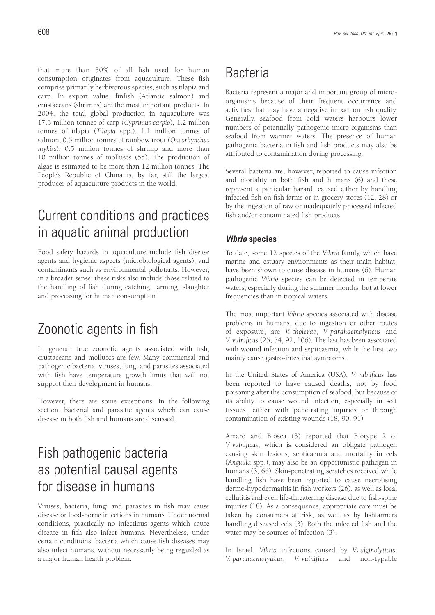that more than 30% of all fish used for human consumption originates from aquaculture. These fish comprise primarily herbivorous species, such as tilapia and carp. In export value, finfish (Atlantic salmon) and crustaceans (shrimps) are the most important products. In 2004, the total global production in aquaculture was 17.3 million tonnes of carp (*Cyprinius carpio*), 1.2 million tonnes of tilapia (*Tilapia* spp.), 1.1 million tonnes of salmon, 0.5 million tonnes of rainbow trout (*Oncorhynchus mykiss*), 0.5 million tonnes of shrimp and more than 10 million tonnes of molluscs (55). The production of algae is estimated to be more than 12 million tonnes. The People's Republic of China is, by far, still the largest producer of aquaculture products in the world.

## Current conditions and practices in aquatic animal production

Food safety hazards in aquaculture include fish disease agents and hygienic aspects (microbiological agents), and contaminants such as environmental pollutants. However, in a broader sense, these risks also include those related to the handling of fish during catching, farming, slaughter and processing for human consumption.

## Zoonotic agents in fish

In general, true zoonotic agents associated with fish, crustaceans and molluscs are few. Many commensal and pathogenic bacteria, viruses, fungi and parasites associated with fish have temperature growth limits that will not support their development in humans.

However, there are some exceptions. In the following section, bacterial and parasitic agents which can cause disease in both fish and humans are discussed.

# Fish pathogenic bacteria as potential causal agents for disease in humans

Viruses, bacteria, fungi and parasites in fish may cause disease or food-borne infections in humans. Under normal conditions, practically no infectious agents which cause disease in fish also infect humans. Nevertheless, under certain conditions, bacteria which cause fish diseases may also infect humans, without necessarily being regarded as a major human health problem.

## Bacteria

Bacteria represent a major and important group of microorganisms because of their frequent occurrence and activities that may have a negative impact on fish quality. Generally, seafood from cold waters harbours lower numbers of potentially pathogenic micro-organisms than seafood from warmer waters. The presence of human pathogenic bacteria in fish and fish products may also be attributed to contamination during processing.

Several bacteria are, however, reported to cause infection and mortality in both fish and humans (6) and these represent a particular hazard, caused either by handling infected fish on fish farms or in grocery stores (12, 28) or by the ingestion of raw or inadequately processed infected fish and/or contaminated fish products.

### **Vibrio species**

To date, some 12 species of the *Vibrio* family, which have marine and estuary environments as their main habitat, have been shown to cause disease in humans (6). Human pathogenic *Vibrio* species can be detected in temperate waters, especially during the summer months, but at lower frequencies than in tropical waters.

The most important *Vibrio* species associated with disease problems in humans, due to ingestion or other routes of exposure, are *V. cholerae*, *V. parahaemolyticus* and *V. vulnificus* (25, 54, 92, 106). The last has been associated with wound infection and septicaemia, while the first two mainly cause gastro-intestinal symptoms.

In the United States of America (USA), *V. vulnificus* has been reported to have caused deaths, not by food poisoning after the consumption of seafood, but because of its ability to cause wound infection, especially in soft tissues, either with penetrating injuries or through contamination of existing wounds (18, 90, 91).

Amaro and Biosca (3) reported that Biotype 2 of *V. vulnificus*, which is considered an obligate pathogen causing skin lesions, septicaemia and mortality in eels (*Anguilla* spp.), may also be an opportunistic pathogen in humans (3, 66). Skin-penetrating scratches received while handling fish have been reported to cause necrotising dermo-hypodermatitis in fish workers (26), as well as local cellulitis and even life-threatening disease due to fish-spine injuries (18). As a consequence, appropriate care must be taken by consumers at risk, as well as by fishfarmers handling diseased eels (3). Both the infected fish and the water may be sources of infection (3).

In Israel, *Vibrio* infections caused by *V*. *alginolyticus, V. parahaemolyticus, V. vulnificus* and non-typable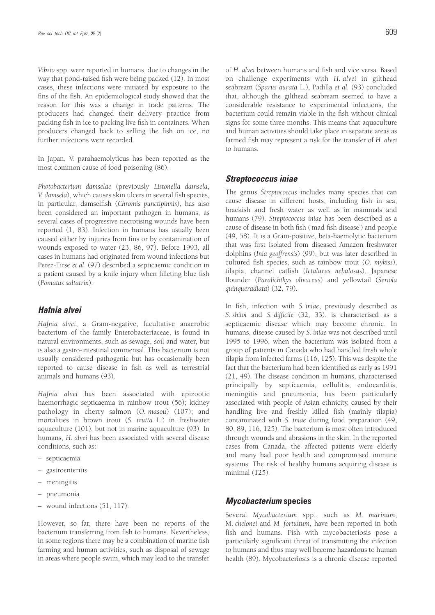*Vibrio* spp. were reported in humans, due to changes in the way that pond-raised fish were being packed (12). In most cases, these infections were initiated by exposure to the fins of the fish. An epidemiological study showed that the reason for this was a change in trade patterns. The producers had changed their delivery practice from packing fish in ice to packing live fish in containers. When producers changed back to selling the fish on ice, no further infections were recorded.

In Japan, V. parahaemolyticus has been reported as the most common cause of food poisoning (86).

*Photobacterium damselae* (previously *Listonella damsela*, *V. damsela*), which causes skin ulcers in several fish species, in particular, damselfish (*Chromis punctipinnis*), has also been considered an important pathogen in humans, as several cases of progressive necrotising wounds have been reported (1, 83). Infection in humans has usually been caused either by injuries from fins or by contamination of wounds exposed to water (23, 86, 97). Before 1993, all cases in humans had originated from wound infections but Perez-Tirse *et al.* (97) described a septicaemic condition in a patient caused by a knife injury when filleting blue fish (*Pomatus saltatrix*).

### **Hafnia alvei**

*Hafnia alvei*, a Gram-negative, facultative anaerobic bacterium of the family Enterobacteriaceae, is found in natural environments, such as sewage, soil and water, but is also a gastro-intestinal commensal. This bacterium is not usually considered pathogenic but has occasionally been reported to cause disease in fish as well as terrestrial animals and humans (93).

*Hafnia alvei* has been associated with epizootic haemorrhagic septicaemia in rainbow trout (56); kidney pathology in cherry salmon (*O. masou*) (107); and mortalities in brown trout (*S. trutta* L.) in freshwater aquaculture (101), but not in marine aquaculture (93). In humans, *H. alvei* has been associated with several disease conditions, such as:

- septicaemia
- gastroenteritis
- meningitis
- pneumonia
- wound infections (51, 117).

However, so far, there have been no reports of the bacterium transferring from fish to humans. Nevertheless, in some regions there may be a combination of marine fish farming and human activities, such as disposal of sewage in areas where people swim, which may lead to the transfer

of *H. alvei* between humans and fish and vice versa. Based on challenge experiments with *H. alvei* in gilthead seabream (*Sparus aurata* L.), Padilla *et al.* (93) concluded that, although the gilthead seabream seemed to have a considerable resistance to experimental infections, the bacterium could remain viable in the fish without clinical signs for some three months. This means that aquaculture and human activities should take place in separate areas as farmed fish may represent a risk for the transfer of *H. alvei* to humans.

### **Streptococcus iniae**

The genus *Streptococcus* includes many species that can cause disease in different hosts, including fish in sea, brackish and fresh water as well as in mammals and humans (79). *Streptococcus iniae* has been described as a cause of disease in both fish ('mad fish disease') and people (49, 58). It is a Gram-positive, beta-haemolytic bacterium that was first isolated from diseased Amazon freshwater dolphins (*Inia geoffrensis*) (99), but was later described in cultured fish species, such as rainbow trout (*O. mykiss*), tilapia, channel catfish (*Ictalurus nebulosus*), Japanese flounder (*Paralichthys olivaceus*) and yellowtail (*Seriola quinqueradiata*) (32, 79).

In fish, infection with *S. iniae*, previously described as *S. shiloi* and *S. difficile* (32, 33), is characterised as a septicaemic disease which may become chronic. In humans, disease caused by *S. iniae* was not described until 1995 to 1996, when the bacterium was isolated from a group of patients in Canada who had handled fresh whole tilapia from infected farms (116, 125). This was despite the fact that the bacterium had been identified as early as 1991 (21, 49). The disease condition in humans, characterised principally by septicaemia, cellulitis, endocarditis, meningitis and pneumonia, has been particularly associated with people of Asian ethnicity, caused by their handling live and freshly killed fish (mainly tilapia) contaminated with *S. iniae* during food preparation (49, 80, 89, 116, 125). The bacterium is most often introduced through wounds and abrasions in the skin. In the reported cases from Canada, the affected patients were elderly and many had poor health and compromised immune systems. The risk of healthy humans acquiring disease is minimal (125).

### **Mycobacterium species**

Several *Mycobacterium* spp., such as *M. marinum*, M. *chelonei* and *M. fortuitum*, have been reported in both fish and humans. Fish with mycobacteriosis pose a particularly significant threat of transmitting the infection to humans and thus may well become hazardous to human health (89). Mycobacteriosis is a chronic disease reported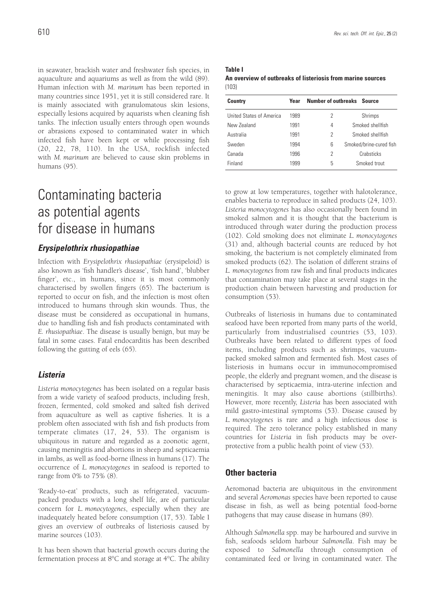in seawater, brackish water and freshwater fish species, in aquaculture and aquariums as well as from the wild (89). Human infection with *M. marinum* has been reported in many countries since 1951, yet it is still considered rare. It is mainly associated with granulomatous skin lesions, especially lesions acquired by aquarists when cleaning fish tanks. The infection usually enters through open wounds or abrasions exposed to contaminated water in which infected fish have been kept or while processing fish (20, 22, 78, 110). In the USA, rockfish infected with *M. marinum* are believed to cause skin problems in humans (95).

# Contaminating bacteria as potential agents for disease in humans

### **Erysipelothrix rhusiopathiae**

Infection with *Erysipelothrix rhusiopathiae* (erysipeloid) is also known as 'fish handler's disease', 'fish hand', 'blubber finger', etc., in humans, since it is most commonly characterised by swollen fingers (65). The bacterium is reported to occur on fish, and the infection is most often introduced to humans through skin wounds. Thus, the disease must be considered as occupational in humans, due to handling fish and fish products contaminated with *E. rhusiopathiae*. The disease is usually benign, but may be fatal in some cases. Fatal endocarditis has been described following the gutting of eels (65).

### **Listeria**

*Listeria monocytogenes* has been isolated on a regular basis from a wide variety of seafood products, including fresh, frozen, fermented, cold smoked and salted fish derived from aquaculture as well as captive fisheries. It is a problem often associated with fish and fish products from temperate climates (17, 24, 53). The organism is ubiquitous in nature and regarded as a zoonotic agent, causing meningitis and abortions in sheep and septicaemia in lambs, as well as food-borne illness in humans (17). The occurrence of *L. monocytogenes* in seafood is reported to range from 0% to 75% (8).

'Ready-to-eat' products, such as refrigerated, vacuumpacked products with a long shelf life, are of particular concern for *L. monocytogenes*, especially when they are inadequately heated before consumption (17, 53). Table I gives an overview of outbreaks of listeriosis caused by marine sources (103).

It has been shown that bacterial growth occurs during the fermentation process at 8°C and storage at 4°C. The ability

#### **Table I**

| An overview of outbreaks of listeriosis from marine sources |  |  |  |
|-------------------------------------------------------------|--|--|--|
| (103)                                                       |  |  |  |

| <b>Country</b>           | Year |   | Number of outbreaks Source |  |
|--------------------------|------|---|----------------------------|--|
| United States of America | 1989 | 2 | Shrimps                    |  |
| New Zealand              | 1991 | 4 | Smoked shellfish           |  |
| Australia                | 1991 | 2 | Smoked shellfish           |  |
| Sweden                   | 1994 | 6 | Smoked/brine-cured fish    |  |
| Canada                   | 1996 | 2 | Crabsticks                 |  |
| Finland                  | 1999 | 5 | Smoked trout               |  |

to grow at low temperatures, together with halotolerance, enables bacteria to reproduce in salted products (24, 103). *Listeria monocytogenes* has also occasionally been found in smoked salmon and it is thought that the bacterium is introduced through water during the production process (102). Cold smoking does not eliminate *L. monocytogenes* (31) and, although bacterial counts are reduced by hot smoking, the bacterium is not completely eliminated from smoked products (62). The isolation of different strains of *L. monocytogenes* from raw fish and final products indicates that contamination may take place at several stages in the production chain between harvesting and production for consumption (53).

Outbreaks of listeriosis in humans due to contaminated seafood have been reported from many parts of the world, particularly from industrialised countries (53, 103). Outbreaks have been related to different types of food items, including products such as shrimps, vacuumpacked smoked salmon and fermented fish. Most cases of listeriosis in humans occur in immunocompromised people, the elderly and pregnant women, and the disease is characterised by septicaemia, intra-uterine infection and meningitis. It may also cause abortions (stillbirths). However, more recently, *Listeria* has been associated with mild gastro-intestinal symptoms (53). Disease caused by *L. monocytogenes* is rare and a high infectious dose is required. The zero tolerance policy established in many countries for *Listeria* in fish products may be overprotective from a public health point of view (53).

### **Other bacteria**

Aeromonad bacteria are ubiquitous in the environment and several *Aeromonas* species have been reported to cause disease in fish, as well as being potential food-borne pathogens that may cause disease in humans (89).

Although *Salmonella* spp. may be harboured and survive in fish, seafoods seldom harbour *Salmonella*. Fish may be exposed to *Salmonella* through consumption of contaminated feed or living in contaminated water. The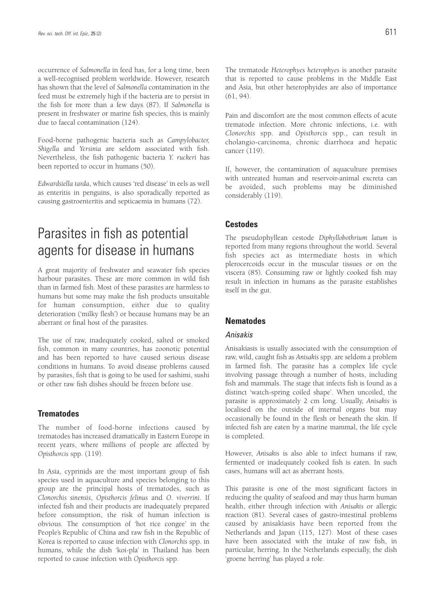occurrence of *Salmonella* in feed has, for a long time, been a well-recognised problem worldwide. However, research has shown that the level of *Salmonella* contamination in the feed must be extremely high if the bacteria are to persist in the fish for more than a few days (87). If *Salmonella* is present in freshwater or marine fish species, this is mainly due to faecal contamination (124).

Food-borne pathogenic bacteria such as *Campylobacter, Shigella* and *Yersinia* are seldom associated with fish. Nevertheless, the fish pathogenic bacteria *Y. ruckeri* has been reported to occur in humans (50).

*Edwardsiella tarda*, which causes 'red disease' in eels as well as enteritis in penguins, is also sporadically reported as causing gastroenteritis and septicaemia in humans (72).

# Parasites in fish as potential agents for disease in humans

A great majority of freshwater and seawater fish species harbour parasites. These are more common in wild fish than in farmed fish. Most of these parasites are harmless to humans but some may make the fish products unsuitable for human consumption, either due to quality deterioration ('milky flesh') or because humans may be an aberrant or final host of the parasites.

The use of raw, inadequately cooked, salted or smoked fish, common in many countries, has zoonotic potential and has been reported to have caused serious disease conditions in humans. To avoid disease problems caused by parasites, fish that is going to be used for sashimi, sushi or other raw fish dishes should be frozen before use.

### **Trematodes**

The number of food-borne infections caused by trematodes has increased dramatically in Eastern Europe in recent years, where millions of people are affected by *Opisthorcis* spp. (119).

In Asia, cyprinids are the most important group of fish species used in aquaculture and species belonging to this group are the principal hosts of trematodes, such as *Clonorchis sinensis*, *Opisthorcis felinus* and *O. viverrini*. If infected fish and their products are inadequately prepared before consumption, the risk of human infection is obvious. The consumption of 'hot rice congee' in the People's Republic of China and raw fish in the Republic of Korea is reported to cause infection with *Clonorchis* spp. in humans, while the dish 'koi-pla' in Thailand has been reported to cause infection with *Opisthorcis* spp.

The trematode *Heterophyes heterophyes* is another parasite that is reported to cause problems in the Middle East and Asia, but other heterophyides are also of importance (61, 94).

Pain and discomfort are the most common effects of acute trematode infection. More chronic infections, i.e. with *Clonorchis* spp. and *Opisthorcis* spp., can result in cholangio-carcinoma, chronic diarrhoea and hepatic cancer (119).

If, however, the contamination of aquaculture premises with untreated human and reservoir-animal excreta can be avoided, such problems may be diminished considerably (119).

### **Cestodes**

The pseudophyllean cestode *Diphyllobothrium latum* is reported from many regions throughout the world. Several fish species act as intermediate hosts in which plerocercoids occur in the muscular tissues or on the viscera (85). Consuming raw or lightly cooked fish may result in infection in humans as the parasite establishes itself in the gut.

### **Nematodes**

#### Anisakis

Anisakiasis is usually associated with the consumption of raw, wild, caught fish as *Anisakis* spp. are seldom a problem in farmed fish. The parasite has a complex life cycle involving passage through a number of hosts, including fish and mammals. The stage that infects fish is found as a distinct 'watch-spring coiled shape'. When uncoiled, the parasite is approximately 2 cm long. Usually, *Anisakis* is localised on the outside of internal organs but may occasionally be found in the flesh or beneath the skin. If infected fish are eaten by a marine mammal, the life cycle is completed.

However, *Anisakis* is also able to infect humans if raw, fermented or inadequately cooked fish is eaten. In such cases, humans will act as aberrant hosts.

This parasite is one of the most significant factors in reducing the quality of seafood and may thus harm human health, either through infection with *Anisakis* or allergic reaction (81). Several cases of gastro-intestinal problems caused by anisakiasis have been reported from the Netherlands and Japan (115, 127). Most of these cases have been associated with the intake of raw fish, in particular, herring. In the Netherlands especially, the dish 'groene herring' has played a role.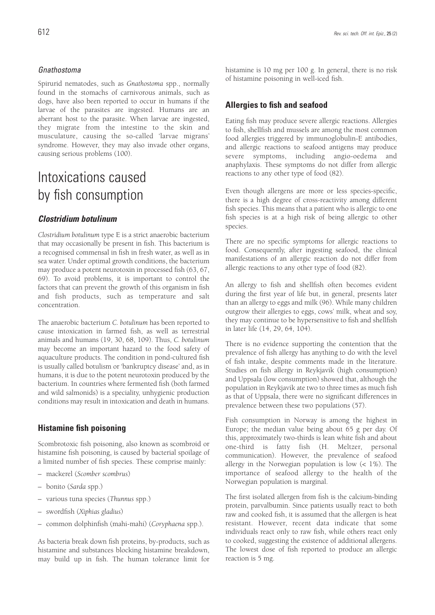### Gnathostoma

Spirurid nematodes, such as *Gnathostoma* spp., normally found in the stomachs of carnivorous animals, such as dogs, have also been reported to occur in humans if the larvae of the parasites are ingested. Humans are an aberrant host to the parasite. When larvae are ingested, they migrate from the intestine to the skin and musculature, causing the so-called 'larvae migrans' syndrome. However, they may also invade other organs, causing serious problems (100).

# Intoxications caused by fish consumption

### **Clostridium botulinum**

*Clostridium botulinum* type E is a strict anaerobic bacterium that may occasionally be present in fish. This bacterium is a recognised commensal in fish in fresh water, as well as in sea water. Under optimal growth conditions, the bacterium may produce a potent neurotoxin in processed fish (63, 67, 69). To avoid problems, it is important to control the factors that can prevent the growth of this organism in fish and fish products, such as temperature and salt concentration.

The anaerobic bacterium *C. botulinum* has been reported to cause intoxication in farmed fish, as well as terrestrial animals and humans (19, 30, 68, 109). Thus, *C. botulinum* may become an important hazard to the food safety of aquaculture products. The condition in pond-cultured fish is usually called botulism or 'bankruptcy disease' and, as in humans, it is due to the potent neurotoxin produced by the bacterium. In countries where fermented fish (both farmed and wild salmonids) is a speciality, unhygienic production conditions may result in intoxication and death in humans.

### **Histamine fish poisoning**

Scombrotoxic fish poisoning, also known as scombroid or histamine fish poisoning, is caused by bacterial spoilage of a limited number of fish species. These comprise mainly:

- mackerel (*Scomber scombrus*)
- bonito (*Sarda* spp.)
- various tuna species (*Thunnus* spp.)
- swordfish (*Xiphias gladius*)
- common dolphinfish (mahi-mahi) (*Coryphaena* spp.).

As bacteria break down fish proteins, by-products, such as histamine and substances blocking histamine breakdown, may build up in fish. The human tolerance limit for histamine is 10 mg per 100 g. In general, there is no risk of histamine poisoning in well-iced fish.

### **Allergies to fish and seafood**

Eating fish may produce severe allergic reactions. Allergies to fish, shellfish and mussels are among the most common food allergies triggered by immunoglobulin-E antibodies, and allergic reactions to seafood antigens may produce severe symptoms, including angio-oedema and anaphylaxis. These symptoms do not differ from allergic reactions to any other type of food (82).

Even though allergens are more or less species-specific, there is a high degree of cross-reactivity among different fish species. This means that a patient who is allergic to one fish species is at a high risk of being allergic to other species.

There are no specific symptoms for allergic reactions to food. Consequently, after ingesting seafood, the clinical manifestations of an allergic reaction do not differ from allergic reactions to any other type of food (82).

An allergy to fish and shellfish often becomes evident during the first year of life but, in general, presents later than an allergy to eggs and milk (96). While many children outgrow their allergies to eggs, cows' milk, wheat and soy, they may continue to be hypersensitive to fish and shellfish in later life (14, 29, 64, 104).

There is no evidence supporting the contention that the prevalence of fish allergy has anything to do with the level of fish intake, despite comments made in the literature. Studies on fish allergy in Reykjavik (high consumption) and Uppsala (low consumption) showed that, although the population in Reykjavik ate two to three times as much fish as that of Uppsala, there were no significant differences in prevalence between these two populations (57).

Fish consumption in Norway is among the highest in Europe; the median value being about 65 g per day. Of this, approximately two-thirds is lean white fish and about one-third is fatty fish (H. Meltzer, personal communication). However, the prevalence of seafood allergy in the Norwegian population is low  $(< 1\%)$ . The importance of seafood allergy to the health of the Norwegian population is marginal.

The first isolated allergen from fish is the calcium-binding protein, parvalbumin. Since patients usually react to both raw and cooked fish, it is assumed that the allergen is heat resistant. However, recent data indicate that some individuals react only to raw fish, while others react only to cooked, suggesting the existence of additional allergens. The lowest dose of fish reported to produce an allergic reaction is 5 mg.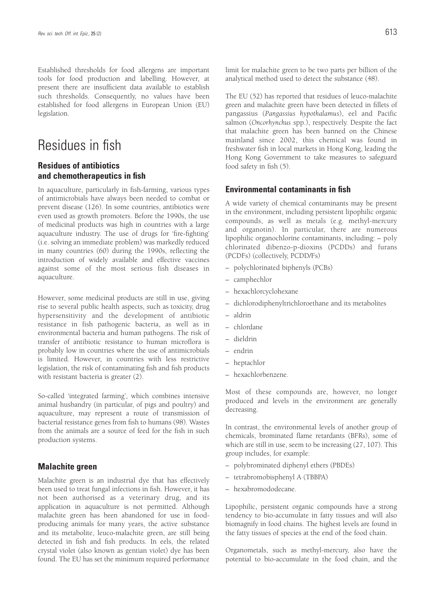Established thresholds for food allergens are important tools for food production and labelling. However, at present there are insufficient data available to establish such thresholds. Consequently, no values have been established for food allergens in European Union (EU) legislation.

# Residues in fish

### **Residues of antibiotics and chemotherapeutics in fish**

In aquaculture, particularly in fish-farming, various types of antimicrobials have always been needed to combat or prevent disease (126). In some countries, antibiotics were even used as growth promoters. Before the 1990s, the use of medicinal products was high in countries with a large aquaculture industry. The use of drugs for 'fire-fighting' (i.e. solving an immediate problem) was markedly reduced in many countries (60) during the 1990s, reflecting the introduction of widely available and effective vaccines against some of the most serious fish diseases in aquaculture.

However, some medicinal products are still in use, giving rise to several public health aspects, such as toxicity, drug hypersensitivity and the development of antibiotic resistance in fish pathogenic bacteria, as well as in environmental bacteria and human pathogens. The risk of transfer of antibiotic resistance to human microflora is probably low in countries where the use of antimicrobials is limited. However, in countries with less restrictive legislation, the risk of contaminating fish and fish products with resistant bacteria is greater (2).

So-called 'integrated farming', which combines intensive animal husbandry (in particular, of pigs and poultry) and aquaculture, may represent a route of transmission of bacterial resistance genes from fish to humans (98). Wastes from the animals are a source of feed for the fish in such production systems.

### **Malachite green**

Malachite green is an industrial dye that has effectively been used to treat fungal infections in fish. However, it has not been authorised as a veterinary drug, and its application in aquaculture is not permitted. Although malachite green has been abandoned for use in foodproducing animals for many years, the active substance and its metabolite, leuco-malachite green, are still being detected in fish and fish products. In eels, the related crystal violet (also known as gentian violet) dye has been found. The EU has set the minimum required performance limit for malachite green to be two parts per billion of the analytical method used to detect the substance (48).

The EU (52) has reported that residues of leuco-malachite green and malachite green have been detected in fillets of pangassius (*Pangassius hypothalamus*), eel and Pacific salmon (*Oncorhynchus* spp.), respectively. Despite the fact that malachite green has been banned on the Chinese mainland since 2002, this chemical was found in freshwater fish in local markets in Hong Kong, leading the Hong Kong Government to take measures to safeguard food safety in fish (5).

### **Environmental contaminants in fish**

A wide variety of chemical contaminants may be present in the environment, including persistent lipophilic organic compounds, as well as metals (e.g. methyl-mercury and organotin). In particular, there are numerous lipophilic organochlorine contaminants, including: – poly chlorinated dibenzo-p-dioxins (PCDDs) and furans (PCDFs) (collectively, PCDD/Fs)

- polychlorinated biphenyls (PCBs)
- camphechlor
- hexachlorcyclohexane
- dichlorodiphenyltrichloroethane and its metabolites
- aldrin
- chlordane
- dieldrin
- endrin
- heptachlor
- hexachlorbenzene.

Most of these compounds are, however, no longer produced and levels in the environment are generally decreasing.

In contrast, the environmental levels of another group of chemicals, brominated flame retardants (BFRs), some of which are still in use, seem to be increasing (27, 107). This group includes, for example:

- polybrominated diphenyl ethers (PBDEs)
- tetrabromobisphenyl A (TBBPA)
- hexabromododecane.

Lipophilic, persistent organic compounds have a strong tendency to bio-accumulate in fatty tissues and will also biomagnify in food chains. The highest levels are found in the fatty tissues of species at the end of the food chain.

Organometals, such as methyl-mercury, also have the potential to bio-accumulate in the food chain, and the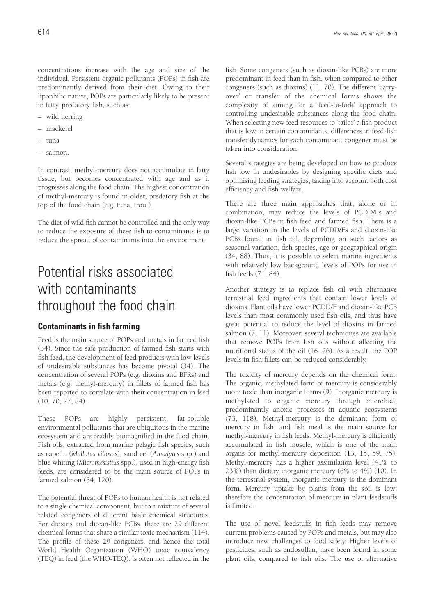concentrations increase with the age and size of the individual. Persistent organic pollutants (POPs) in fish are predominantly derived from their diet. Owing to their lipophilic nature, POPs are particularly likely to be present in fatty, predatory fish, such as:

- wild herring
- mackerel
- tuna
- salmon.

In contrast, methyl-mercury does not accumulate in fatty tissue, but becomes concentrated with age and as it progresses along the food chain. The highest concentration of methyl-mercury is found in older, predatory fish at the top of the food chain (e.g. tuna, trout).

The diet of wild fish cannot be controlled and the only way to reduce the exposure of these fish to contaminants is to reduce the spread of contaminants into the environment.

# Potential risks associated with contaminants throughout the food chain

### **Contaminants in fish farming**

Feed is the main source of POPs and metals in farmed fish (34). Since the safe production of farmed fish starts with fish feed, the development of feed products with low levels of undesirable substances has become pivotal (34). The concentration of several POPs (e.g. dioxins and BFRs) and metals (e.g. methyl-mercury) in fillets of farmed fish has been reported to correlate with their concentration in feed (10, 70, 77, 84).

These POPs are highly persistent, fat-soluble environmental pollutants that are ubiquitous in the marine ecosystem and are readily biomagnified in the food chain. Fish oils, extracted from marine pelagic fish species, such as capelin (*Mallotus villosus*), sand eel (*Amodytes* spp.) and blue whiting (*Micromesistius* spp.), used in high-energy fish feeds, are considered to be the main source of POPs in farmed salmon (34, 120).

The potential threat of POPs to human health is not related to a single chemical component, but to a mixture of several related congeners of different basic chemical structures. For dioxins and dioxin-like PCBs, there are 29 different chemical forms that share a similar toxic mechanism (114). The profile of these 29 congeners, and hence the total World Health Organization (WHO) toxic equivalency (TEQ) in feed (the WHO-TEQ), is often not reflected in the

fish. Some congeners (such as dioxin-like PCBs) are more predominant in feed than in fish, when compared to other congeners (such as dioxins) (11, 70). The different 'carryover' or transfer of the chemical forms shows the complexity of aiming for a 'feed-to-fork' approach to controlling undesirable substances along the food chain. When selecting new feed resources to 'tailor' a fish product that is low in certain contaminants, differences in feed-fish transfer dynamics for each contaminant congener must be taken into consideration.

Several strategies are being developed on how to produce fish low in undesirables by designing specific diets and optimising feeding strategies, taking into account both cost efficiency and fish welfare.

There are three main approaches that, alone or in combination, may reduce the levels of PCDD/Fs and dioxin-like PCBs in fish feed and farmed fish. There is a large variation in the levels of PCDD/Fs and dioxin-like PCBs found in fish oil, depending on such factors as seasonal variation, fish species, age or geographical origin (34, 88). Thus, it is possible to select marine ingredients with relatively low background levels of POPs for use in fish feeds (71, 84).

Another strategy is to replace fish oil with alternative terrestrial feed ingredients that contain lower levels of dioxins. Plant oils have lower PCDD/F and dioxin-like PCB levels than most commonly used fish oils, and thus have great potential to reduce the level of dioxins in farmed salmon (7, 11). Moreover, several techniques are available that remove POPs from fish oils without affecting the nutritional status of the oil (16, 26). As a result, the POP levels in fish fillets can be reduced considerably.

The toxicity of mercury depends on the chemical form. The organic, methylated form of mercury is considerably more toxic than inorganic forms (9). Inorganic mercury is methylated to organic mercury through microbial, predominantly anoxic processes in aquatic ecosystems (73, 118). Methyl-mercury is the dominant form of mercury in fish, and fish meal is the main source for methyl-mercury in fish feeds. Methyl-mercury is efficiently accumulated in fish muscle, which is one of the main organs for methyl-mercury deposition (13, 15, 59, 75). Methyl-mercury has a higher assimilation level (41% to 23%) than dietary inorganic mercury (6% to 4%) (10). In the terrestrial system, inorganic mercury is the dominant form. Mercury uptake by plants from the soil is low; therefore the concentration of mercury in plant feedstuffs is limited.

The use of novel feedstuffs in fish feeds may remove current problems caused by POPs and metals, but may also introduce new challenges to food safety. Higher levels of pesticides, such as endosulfan, have been found in some plant oils, compared to fish oils. The use of alternative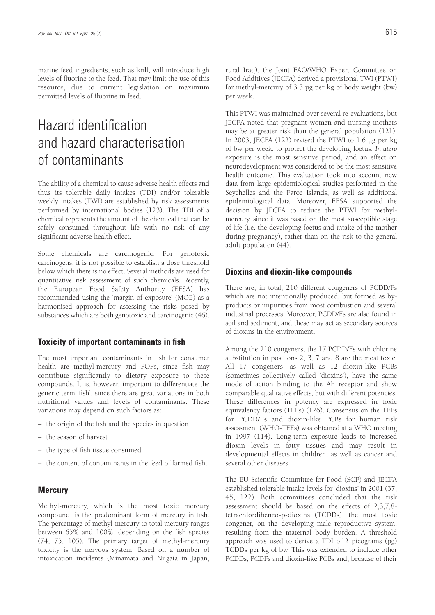marine feed ingredients, such as krill, will introduce high levels of fluorine to the feed. That may limit the use of this resource, due to current legislation on maximum permitted levels of fluorine in feed.

# Hazard identification and hazard characterisation of contaminants

The ability of a chemical to cause adverse health effects and thus its tolerable daily intakes (TDI) and/or tolerable weekly intakes (TWI) are established by risk assessments performed by international bodies (123). The TDI of a chemical represents the amount of the chemical that can be safely consumed throughout life with no risk of any significant adverse health effect.

Some chemicals are carcinogenic. For genotoxic carcinogens, it is not possible to establish a dose threshold below which there is no effect. Several methods are used for quantitative risk assessment of such chemicals. Recently, the European Food Safety Authority (EFSA) has recommended using the 'margin of exposure' (MOE) as a harmonised approach for assessing the risks posed by substances which are both genotoxic and carcinogenic (46).

### **Toxicity of important contaminants in fish**

The most important contaminants in fish for consumer health are methyl-mercury and POPs, since fish may contribute significantly to dietary exposure to these compounds. It is, however, important to differentiate the generic term 'fish', since there are great variations in both nutritional values and levels of contaminants. These variations may depend on such factors as:

- the origin of the fish and the species in question
- the season of harvest
- the type of fish tissue consumed
- the content of contaminants in the feed of farmed fish.

### **Mercury**

Methyl-mercury, which is the most toxic mercury compound, is the predominant form of mercury in fish. The percentage of methyl-mercury to total mercury ranges between 65% and 100%, depending on the fish species (74, 75, 105). The primary target of methyl-mercury toxicity is the nervous system. Based on a number of intoxication incidents (Minamata and Niigata in Japan, rural Iraq), the Joint FAO/WHO Expert Committee on Food Additives (JECFA) derived a provisional TWI (PTWI) for methyl-mercury of 3.3 µg per kg of body weight (bw) per week.

This PTWI was maintained over several re-evaluations, but JECFA noted that pregnant women and nursing mothers may be at greater risk than the general population (121). In 2003, JECFA (122) revised the PTWI to 1.6 µg per kg of bw per week, to protect the developing foetus. *In utero* exposure is the most sensitive period, and an effect on neurodevelopment was considered to be the most sensitive health outcome. This evaluation took into account new data from large epidemiological studies performed in the Seychelles and the Faroe Islands, as well as additional epidemiological data. Moreover, EFSA supported the decision by JECFA to reduce the PTWI for methylmercury, since it was based on the most susceptible stage of life (i.e. the developing foetus and intake of the mother during pregnancy), rather than on the risk to the general adult population (44).

#### **Dioxins and dioxin-like compounds**

There are, in total, 210 different congeners of PCDD/Fs which are not intentionally produced, but formed as byproducts or impurities from most combustion and several industrial processes. Moreover, PCDD/Fs are also found in soil and sediment, and these may act as secondary sources of dioxins in the environment.

Among the 210 congeners, the 17 PCDD/Fs with chlorine substitution in positions 2, 3, 7 and 8 are the most toxic. All 17 congeners, as well as 12 dioxin-like PCBs (sometimes collectively called 'dioxins'), have the same mode of action binding to the Ah receptor and show comparable qualitative effects, but with different potencies. These differences in potency are expressed in toxic equivalency factors (TEFs) (126). Consensus on the TEFs for PCDD/Fs and dioxin-like PCBs for human risk assessment (WHO-TEFs) was obtained at a WHO meeting in 1997 (114). Long-term exposure leads to increased dioxin levels in fatty tissues and may result in developmental effects in children, as well as cancer and several other diseases.

The EU Scientific Committee for Food (SCF) and JECFA established tolerable intake levels for 'dioxins' in 2001 (37, 45, 122). Both committees concluded that the risk assessment should be based on the effects of 2,3,7,8 tetrachlordibenzo-p-dioxins (TCDDs), the most toxic congener, on the developing male reproductive system, resulting from the maternal body burden. A threshold approach was used to derive a TDI of 2 picograms (pg) TCDDs per kg of bw. This was extended to include other PCDDs, PCDFs and dioxin-like PCBs and, because of their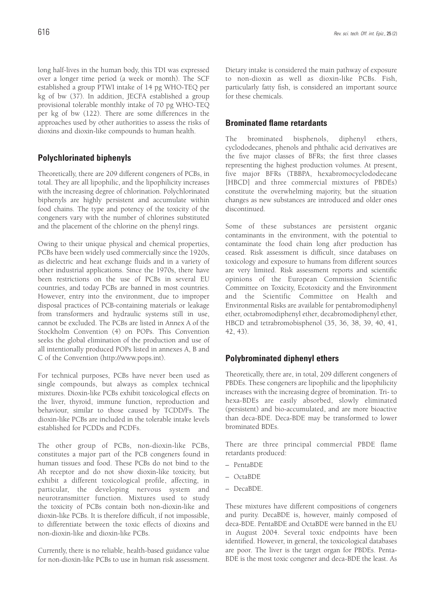long half-lives in the human body, this TDI was expressed over a longer time period (a week or month). The SCF established a group PTWI intake of 14 pg WHO-TEQ per kg of bw (37). In addition, JECFA established a group provisional tolerable monthly intake of 70 pg WHO-TEQ per kg of bw (122). There are some differences in the approaches used by other authorities to assess the risks of dioxins and dioxin-like compounds to human health.

### **Polychlorinated biphenyls**

Theoretically, there are 209 different congeners of PCBs, in total. They are all lipophilic, and the lipophilicity increases with the increasing degree of chlorination. Polychlorinated biphenyls are highly persistent and accumulate within food chains. The type and potency of the toxicity of the congeners vary with the number of chlorines substituted and the placement of the chlorine on the phenyl rings.

Owing to their unique physical and chemical properties, PCBs have been widely used commercially since the 1920s, as dielectric and heat exchange fluids and in a variety of other industrial applications. Since the 1970s, there have been restrictions on the use of PCBs in several EU countries, and today PCBs are banned in most countries. However, entry into the environment, due to improper disposal practices of PCB-containing materials or leakage from transformers and hydraulic systems still in use, cannot be excluded. The PCBs are listed in Annex A of the Stockholm Convention (4) on POPs. This Convention seeks the global elimination of the production and use of all intentionally produced POPs listed in annexes A, B and C of the Convention (http://www.pops.int).

For technical purposes, PCBs have never been used as single compounds, but always as complex technical mixtures. Dioxin-like PCBs exhibit toxicological effects on the liver, thyroid, immune function, reproduction and behaviour, similar to those caused by TCDD/Fs. The dioxin-like PCBs are included in the tolerable intake levels established for PCDDs and PCDFs.

The other group of PCBs, non-dioxin-like PCBs, constitutes a major part of the PCB congeners found in human tissues and food. These PCBs do not bind to the Ah receptor and do not show dioxin-like toxicity, but exhibit a different toxicological profile, affecting, in particular, the developing nervous system and neurotransmitter function. Mixtures used to study the toxicity of PCBs contain both non-dioxin-like and dioxin-like PCBs. It is therefore difficult, if not impossible, to differentiate between the toxic effects of dioxins and non-dioxin-like and dioxin-like PCBs.

Currently, there is no reliable, health-based guidance value for non-dioxin-like PCBs to use in human risk assessment. Dietary intake is considered the main pathway of exposure to non-dioxin as well as dioxin-like PCBs. Fish, particularly fatty fish, is considered an important source for these chemicals.

### **Brominated flame retardants**

The brominated bisphenols, diphenyl ethers, cyclododecanes, phenols and phthalic acid derivatives are the five major classes of BFRs; the first three classes representing the highest production volumes. At present, five major BFRs (TBBPA, hexabromocyclododecane [HBCD] and three commercial mixtures of PBDEs] constitute the overwhelming majority, but the situation changes as new substances are introduced and older ones discontinued.

Some of these substances are persistent organic contaminants in the environment, with the potential to contaminate the food chain long after production has ceased. Risk assessment is difficult, since databases on toxicology and exposure to humans from different sources are very limited. Risk assessment reports and scientific opinions of the European Commission Scientific Committee on Toxicity, Ecotoxicity and the Environment and the Scientific Committee on Health and Environmental Risks are available for pentabromodiphenyl ether, octabromodiphenyl ether, decabromodiphenyl ether, HBCD and tetrabromobisphenol (35, 36, 38, 39, 40, 41, 42, 43).

### **Polybrominated diphenyl ethers**

Theoretically, there are, in total, 209 different congeners of PBDEs. These congeners are lipophilic and the lipophilicity increases with the increasing degree of bromination. Tri- to hexa-BDEs are easily absorbed, slowly eliminated (persistent) and bio-accumulated, and are more bioactive than deca-BDE. Deca-BDE may be transformed to lower brominated BDEs.

There are three principal commercial PBDE flame retardants produced:

- PentaBDE
- OctaBDE
- DecaBDE.

These mixtures have different compositions of congeners and purity. DecaBDE is, however, mainly composed of deca-BDE. PentaBDE and OctaBDE were banned in the EU in August 2004. Several toxic endpoints have been identified. However, in general, the toxicological databases are poor. The liver is the target organ for PBDEs. Penta-BDE is the most toxic congener and deca-BDE the least. As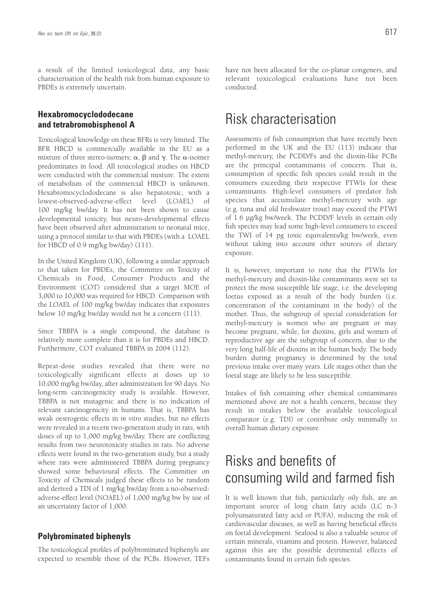a result of the limited toxicological data, any basic characterisation of the health risk from human exposure to PBDEs is extremely uncertain.

### **Hexabromocyclododecane and tetrabromobisphenol A**

Toxicological knowledge on these BFRs is very limited. The BFR HBCD is commercially available in the EU as a mixture of three stereo-isomers:  $\alpha$ ,  $\beta$  and  $\gamma$ . The  $\alpha$ -isomer predominates in food. All toxicological studies on HBCD were conducted with the commercial mixture. The extent of metabolism of the commercial HBCD is unknown. Hexabromocyclododecane is also hepatotoxic, with a lowest-observed-adverse-effect level (LOAEL) of 100 mg/kg bw/day. It has not been shown to cause developmental toxicity, but neuro-developmental effects have been observed after administration to neonatal mice, using a protocol similar to that with PBDEs (with a LOAEL for HBCD of 0.9 mg/kg bw/day) (111).

In the United Kingdom (UK), following a similar approach to that taken for PBDEs, the Committee on Toxicity of Chemicals in Food, Consumer Products and the Environment (COT) considered that a target MOE of 3,000 to 10,000 was required for HBCD. Comparison with the LOAEL of 100 mg/kg bw/day indicates that exposures below 10 mg/kg bw/day would not be a concern (111).

Since TBBPA is a single compound, the database is relatively more complete than it is for PBDEs and HBCD. Furthermore, COT evaluated TBBPA in 2004 (112).

Repeat-dose studies revealed that there were no toxicologically significant effects at doses up to 10,000 mg/kg bw/day, after administration for 90 days. No long-term carcinogenicity study is available. However, TBBPA is not mutagenic and there is no indication of relevant carcinogenicity in humans. That is, TBBPA has weak oestrogenic effects in *in vitro* studies, but no effects were revealed in a recent two-generation study in rats, with doses of up to 1,000 mg/kg bw/day. There are conflicting results from two neurotoxicity studies in rats. No adverse effects were found in the two-generation study, but a study where rats were administered TBBPA during pregnancy showed some behavioural effects. The Committee on Toxicity of Chemicals judged these effects to be random and derived a TDI of 1 mg/kg bw/day from a no-observedadverse-effect level (NOAEL) of 1,000 mg/kg bw by use of an uncertainty factor of 1,000.

### **Polybrominated biphenyls**

The toxicological profiles of polybrominated biphenyls are expected to resemble those of the PCBs. However, TEFs have not been allocated for the co-planar congeners, and relevant toxicological evaluations have not been conducted.

## Risk characterisation

Assessments of fish consumption that have recently been performed in the UK and the EU (113) indicate that methyl-mercury, the PCDD/Fs and the dioxin-like PCBs are the principal contaminants of concern. That is, consumption of specific fish species could result in the consumers exceeding their respective PTWIs for these contaminants. High-level consumers of predator fish species that accumulate methyl-mercury with age (e.g. tuna and old freshwater trout) may exceed the PTWI of 1.6 µg/kg bw/week. The PCDD/F levels in certain oily fish species may lead some high-level consumers to exceed the TWI of 14 pg toxic equivalents/kg bw/week, even without taking into account other sources of dietary exposure.

It is, however, important to note that the PTWIs for methyl-mercury and dioxin-like contaminants were set to protect the most susceptible life stage, i.e. the developing foetus exposed as a result of the body burden (i.e. concentration of the contaminant in the body) of the mother. Thus, the subgroup of special consideration for methyl-mercury is women who are pregnant or may become pregnant, while, for dioxins, girls and women of reproductive age are the subgroup of concern, due to the very long half-life of dioxins in the human body. The body burden during pregnancy is determined by the total previous intake over many years. Life stages other than the foetal stage are likely to be less susceptible.

Intakes of fish containing other chemical contaminants mentioned above are not a health concern, because they result in intakes below the available toxicological comparator (e.g. TDI) or contribute only minimally to overall human dietary exposure.

# Risks and benefits of consuming wild and farmed fish

It is well known that fish, particularly oily fish, are an important source of long chain fatty acids (LC n-3 polyunsaturated fatty acid or PUFA), reducing the risk of cardiovascular diseases, as well as having beneficial effects on foetal development. Seafood is also a valuable source of certain minerals, vitamins and protein. However, balanced against this are the possible detrimental effects of contaminants found in certain fish species.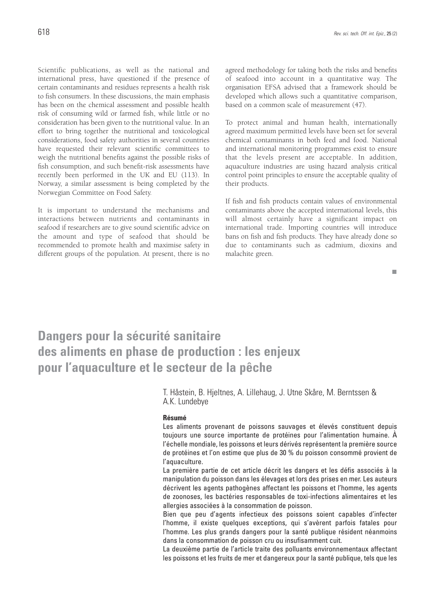Scientific publications, as well as the national and international press, have questioned if the presence of certain contaminants and residues represents a health risk to fish consumers. In these discussions, the main emphasis has been on the chemical assessment and possible health risk of consuming wild or farmed fish, while little or no consideration has been given to the nutritional value. In an effort to bring together the nutritional and toxicological considerations, food safety authorities in several countries have requested their relevant scientific committees to weigh the nutritional benefits against the possible risks of fish consumption, and such benefit-risk assessments have recently been performed in the UK and EU (113). In Norway, a similar assessment is being completed by the Norwegian Committee on Food Safety.

It is important to understand the mechanisms and interactions between nutrients and contaminants in seafood if researchers are to give sound scientific advice on the amount and type of seafood that should be recommended to promote health and maximise safety in different groups of the population. At present, there is no agreed methodology for taking both the risks and benefits of seafood into account in a quantitative way. The organisation EFSA advised that a framework should be developed which allows such a quantitative comparison, based on a common scale of measurement (47).

To protect animal and human health, internationally agreed maximum permitted levels have been set for several chemical contaminants in both feed and food. National and international monitoring programmes exist to ensure that the levels present are acceptable. In addition, aquaculture industries are using hazard analysis critical control point principles to ensure the acceptable quality of their products.

If fish and fish products contain values of environmental contaminants above the accepted international levels, this will almost certainly have a significant impact on international trade. Importing countries will introduce bans on fish and fish products. They have already done so due to contaminants such as cadmium, dioxins and malachite green.

## **Dangers pour la sécurité sanitaire des aliments en phase de production : les enjeux pour l'aquaculture et le secteur de la pêche**

T. Håstein, B. Hjeltnes, A. Lillehaug, J. Utne Skåre, M. Berntssen & A.K. Lundebye

#### **Résumé**

Les aliments provenant de poissons sauvages et élevés constituent depuis toujours une source importante de protéines pour l'alimentation humaine. À l'échelle mondiale, les poissons et leurs dérivés représentent la première source de protéines et l'on estime que plus de 30 % du poisson consommé provient de l'aquaculture.

La première partie de cet article décrit les dangers et les défis associés à la manipulation du poisson dans les élevages et lors des prises en mer. Les auteurs décrivent les agents pathogènes affectant les poissons et l'homme, les agents de zoonoses, les bactéries responsables de toxi-infections alimentaires et les allergies associées à la consommation de poisson.

Bien que peu d'agents infectieux des poissons soient capables d'infecter l'homme, il existe quelques exceptions, qui s'avèrent parfois fatales pour l'homme. Les plus grands dangers pour la santé publique résident néanmoins dans la consommation de poisson cru ou insufisamment cuit.

La deuxième partie de l'article traite des polluants environnementaux affectant les poissons et les fruits de mer et dangereux pour la santé publique, tels que les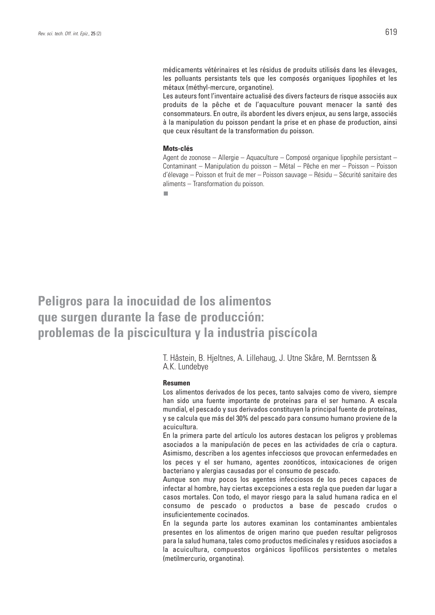médicaments vétérinaires et les résidus de produits utilisés dans les élevages, les polluants persistants tels que les composés organiques lipophiles et les métaux (méthyl-mercure, organotine).

Les auteurs font l'inventaire actualisé des divers facteurs de risque associés aux produits de la pêche et de l'aquaculture pouvant menacer la santé des consommateurs. En outre, ils abordent les divers enjeux, au sens large, associés à la manipulation du poisson pendant la prise et en phase de production, ainsi que ceux résultant de la transformation du poisson.

#### **Mots-clés**

Agent de zoonose – Allergie – Aquaculture – Composé organique lipophile persistant – Contaminant – Manipulation du poisson – Métal – Pêche en mer – Poisson – Poisson d'élevage – Poisson et fruit de mer – Poisson sauvage – Résidu – Sécurité sanitaire des aliments – Transformation du poisson.

п

## **Peligros para la inocuidad de los alimentos que surgen durante la fase de producción: problemas de la piscicultura y la industria piscícola**

T. Håstein, B. Hjeltnes, A. Lillehaug, J. Utne Skåre, M. Berntssen & A.K. Lundebye

#### **Resumen**

Los alimentos derivados de los peces, tanto salvajes como de vivero, siempre han sido una fuente importante de proteínas para el ser humano. A escala mundial, el pescado y sus derivados constituyen la principal fuente de proteínas, y se calcula que más del 30% del pescado para consumo humano proviene de la acuicultura.

En la primera parte del artículo los autores destacan los peligros y problemas asociados a la manipulación de peces en las actividades de cría o captura. Asimismo, describen a los agentes infecciosos que provocan enfermedades en los peces y el ser humano, agentes zoonóticos, intoxicaciones de origen bacteriano y alergias causadas por el consumo de pescado.

Aunque son muy pocos los agentes infecciosos de los peces capaces de infectar al hombre, hay ciertas excepciones a esta regla que pueden dar lugar a casos mortales. Con todo, el mayor riesgo para la salud humana radica en el consumo de pescado o productos a base de pescado crudos o insuficientemente cocinados.

En la segunda parte los autores examinan los contaminantes ambientales presentes en los alimentos de origen marino que pueden resultar peligrosos para la salud humana, tales como productos medicinales y residuos asociados a la acuicultura, compuestos orgánicos lipofílicos persistentes o metales (metilmercurio, organotina).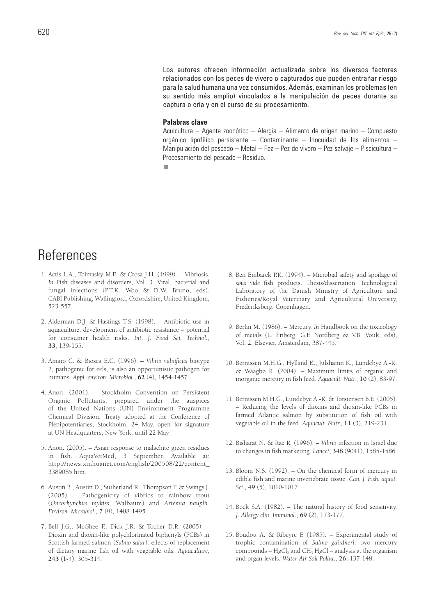Los autores ofrecen información actualizada sobre los diversos factores relacionados con los peces de vivero o capturados que pueden entrañar riesgo para la salud humana una vez consumidos. Además, examinan los problemas (en su sentido más amplio) vinculados a la manipulación de peces durante su captura o cría y en el curso de su procesamiento.

#### **Palabras clave**

Acuicultura – Agente zoonótico – Alergia – Alimento de origen marino – Compuesto orgánico lipofílico persistente – Contaminante – Inocuidad de los alimentos – Manipulación del pescado – Metal – Pez – Pez de vivero – Pez salvaje – Piscicultura – Procesamiento del pescado – Residuo.

п

## **References**

- 1. Actis L.A., Tolmasky M.E. & Crosa J.H. (1999). Vibriosis. *In* Fish diseases and disorders, Vol. 3. Viral, bacterial and fungal infections (P.T.K. Woo & D.W. Bruno, eds). CABI Publishing, Wallingford, Oxfordshire, United Kingdom, 523-557.
- 2. Alderman D.J. & Hastings T.S. (1998). Antibiotic use in aquaculture: development of antibiotic resistance – potential for consumer health risks. *Int. J. Food Sci. Technol.*, **33**, 139-155.
- 3. Amaro C. & Biosca E.G. (1996). *Vibrio vulnificus* biotype 2, pathogenic for eels, is also an opportunistic pathogen for humans. *Appl. environ. Microbiol.*, **62** (4), 1454-1457.
- 4. Anon. (2001). Stockholm Convention on Persistent Organic Pollutants, prepared under the auspices of the United Nations (UN) Environment Programme Chemical Division. Treaty adopted at the Conference of Plenipotentiaries, Stockholm, 24 May, open for signature at UN Headquarters, New York, until 22 May.
- 5. Anon. (2005). Asian response to malachite green residues in fish. AquaVetMed, 3 September. Available at: http://news.xinhuanet.com/english/200508/22/content\_ 3389085.htm.
- 6. Austin B., Austin D., Sutherland R., Thompson F. & Swings J. (2005). – Pathogenicity of vibrios to rainbow trout (*Oncorhynchus mykiss*, Walbaum) and *Artemia nauplii*. *Environ. Microbiol.*, **7** (9), 1488-1495.
- 7. Bell J.G., McGhee F., Dick J.R. & Tocher D.R. (2005). Dioxin and dioxin-like polychlorinated biphenyls (PCBs) in Scottish farmed salmon (*Salmo salar*): effects of replacement of dietary marine fish oil with vegetable oils. *Aquaculture*, **243** (1-4), 305-314.
- 8. Ben Embarek P.K. (1994). Microbial safety and spoilage of *sous vide* fish products. Thesis/dissertation. Technological Laboratory of the Danish Ministry of Agriculture and Fisheries/Royal Veterinary and Agricultural University, Frederiksberg, Copenhagen.
- 9. Berlin M. (1986). Mercury. *In* Handbook on the toxicology of metals (L. Friberg, G.F. Nordberg & V.B. Vouk, eds), Vol. 2. Elsevier, Amsterdam, 387-445.
- 10. Berntssen M.H.G., Hylland K., Julshamn K., Lundebye A.-K. & Waagbø R. (2004). – Maximum limits of organic and inorganic mercury in fish feed. *Aquacult. Nutr.*, **10** (2), 83-97.
- 11. Berntssen M.H.G., Lundebye A.-K. & Torstensen B.E. (2005). – Reducing the levels of dioxins and dioxin-like PCBs in farmed Atlantic salmon by substitution of fish oil with vegetable oil in the feed. *Aquacult. Nutr.*, **11** (3), 219-231.
- 12. Bisharat N. & Raz R. (1996). *Vibrio* infection in Israel due to changes in fish marketing. *Lancet*, **348** (9041), 1585-1586.
- 13. Bloom N.S. (1992). On the chemical form of mercury in edible fish and marine invertebrate tissue. *Can. J. Fish. aquat. Sci.*, **49** (5), 1010-1017.
- 14. Bock S.A. (1982). The natural history of food sensitivity. *J. Allergy clin. Immunol.*, **69** (2), 173-177.
- 15. Boudou A. & Ribeyre F. (1985). Experimental study of trophic contamination of *Salmo gairdneri*: two mercury compounds – HgCl<sub>2</sub> and CH<sub>3</sub> HgCl – analysis at the organism and organ levels. *Water Air Soil Pollut.*, **26**, 137-148.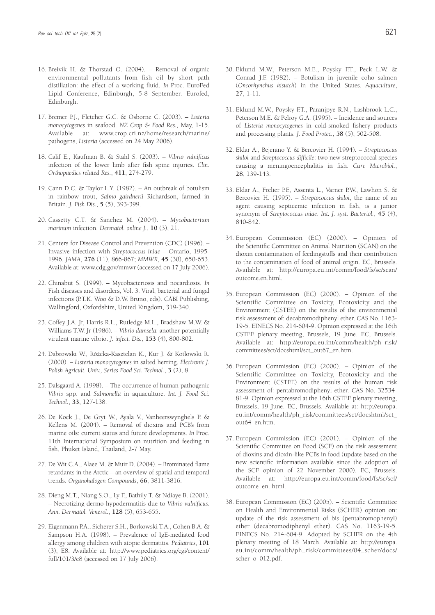- 16. Breivik H. & Thorstad O. (2004). Removal of organic environmental pollutants from fish oil by short path distillation: the effect of a working fluid. *In* Proc. EuroFed Lipid Conference, Edinburgh, 5-8 September. Eurofed, Edinburgh.
- 17. Bremer P.J., Fletcher G.C. & Osborne C. (2003). *Listeria monocytogenes* in seafood. *NZ Crop & Food Res.*, May, 1-15. Available at: www.crop.cri.nz/home/research/marine/ pathogens, *Listeria* (accessed on 24 May 2006).
- 18. Calif E., Kaufman B. & Stahl S. (2003). *Vibrio vulnificus* infection of the lower limb after fish spine injuries. *Clin. Orthopaedics related Res.*, **411**, 274-279.
- 19. Cann D.C. & Taylor L.Y. (1982). An outbreak of botulism in rainbow trout, *Salmo gairdnerii* Richardson, farmed in Britain. *J. Fish Dis.*, **5** (5), 393-399.
- 20. Cassetty C.T. & Sanchez M. (2004). *Mycobacterium marinum* infection. *Dermatol. online J.*, **10** (3), 21.
- 21. Centers for Disease Control and Prevention (CDC) (1996). Invasive infection with *Streptococcus iniae* – Ontario, 1995- 1996. *JAMA*, **276** (11), 866-867; *MMWR*, **45** (30), 650-653. Available at: www.cdg.gov/mmwr (accessed on 17 July 2006).
- 22. Chinabut S. (1999). Mycobacteriosis and nocardiosis. *In* Fish diseases and disorders, Vol. 3. Viral, bacterial and fungal infections (P.T.K. Woo & D.W. Bruno, eds). CABI Publishing, Wallingford, Oxfordshire, United Kingdom, 319-340.
- 23. Coffey J.A. Jr, Harris R.L., Rutledge M.L., Bradshaw M.W. & Williams T.W. Jr (1986). – *Vibrio damsela*: another potentially virulent marine vibrio. *J. infect. Dis.*, **153** (4), 800-802.
- 24. Dabrowski W., Rózcka-Kasztelan K., Kur J. & Kotlowski R. º(2000). – *Listeria monocytogenes* in salted herring. *Electronic J. Polish Agricult. Univ., Series Food Sci. Technol.*, **3** (2), 8.
- 25. Dalsgaard A. (1998). The occurrence of human pathogenic *Vibrio* spp. and *Salmonella* in aquaculture. *Int. J. Food Sci. Technol.*, **33**, 127-138.
- 26. De Kock J., De Gryt W., Ayala V., Vanheerswynghels P. & Kellens M. (2004). – Removal of dioxins and PCB's from marine oils: current status and future developments. *In* Proc. 11th International Symposium on nutrition and feeding in fish, Phuket Island, Thailand, 2-7 May.
- 27. De Wit C.A., Alaee M. & Muir D. (2004). Brominated flame retardants in the Arctic – an overview of spatial and temporal trends. *Organohalogen Compounds*, **66**, 3811-3816.
- 28. Dieng M.T., Niang S.O., Ly F., Bathily T. & Ndiaye B. (2001). – Necrotizing dermo-hypodermatitis due to *Vibrio vulnificus. Ann. Dermatol. Venerol.*, **128** (5), 653-655.
- 29. Eigenmann P.A., Sicherer S.H., Borkowski T.A., Cohen B.A. & Sampson H.A. (1998). – Prevalence of IgE-mediated food allergy among children with atopic dermatitis. *Pediatrics*, **101** (3), E8. Available at: http://www.pediatrics.org/cgi/content/ full/101/3/e8 (accessed on 17 July 2006).
- 30. Eklund M.W., Peterson M.E., Poysky F.T., Peck L.W. & Conrad J.F. (1982). – Botulism in juvenile coho salmon (*Oncorhynchus kisutch*) in the United States. *Aquaculture*, **27**, 1-11.
- 31. Eklund M.W., Poysky F.T., Paranjpye R.N., Lashbrook L.C., Peterson M.E. & Pelroy G.A. (1995). – Incidence and sources of *Listeria monocytogenes* in cold-smoked fishery products and processing plants. *J. Food Protec.*, **58** (5), 502-508.
- 32. Eldar A., Bejerano Y. & Bercovier H. (1994). *Streptococcus shiloi* and *Streptococcus difficile*: two new streptococcal species causing a meningoencephalitis in fish. *Curr. Microbiol.*, **28**, 139-143.
- 33. Eldar A., Frelier P.F., Assenta L., Varner P.W., Lawhon S. & Bercovier H. (1995). – *Streptococcus shiloi*, the name of an agent causing septicemic infection in fish, is a junior synonym of *Streptococcus iniae*. *Int. J. syst. Bacteriol.*, **45** (4), 840-842.
- 34. European Commission (EC) (2000). Opinion of the Scientific Committee on Animal Nutrition (SCAN) on the dioxin contamination of feedingstuffs and their contribution to the contamination of food of animal origin. EC, Brussels. Available at: http://europa.eu.int/comm/food/fs/sc/scan/ outcome.en.html.
- 35. European Commission (EC) (2000). Opinion of the Scientific Committee on Toxicity, Ecotoxicity and the Environment (CSTEE) on the results of the environmental risk assessment of: decabromodiphenyl ether. CAS No. 1163- 19-5. EINECS No. 214-604-9. Opinion expressed at the 16th CSTEE plenary meeting, Brussels, 19 June. EC, Brussels. Available at: http://europa.eu.int/comm/health/ph\_risk/ committees/sct/docshtml/sct\_out67\_en.htm.
- 36. European Commission (EC) (2000). Opinion of the Scientific Committee on Toxicity, Ecotoxicity and the Environment (CSTEE) on the results of the human risk assessment of: pentabromodiphenyl ether. CAS No. 32534- 81-9. Opinion expressed at the 16th CSTEE plenary meeting, Brussels, 19 June. EC, Brussels. Available at: http://europa. eu.int/comm/health/ph\_risk/committees/sct/docshtml/sct\_ out64\_en.htm.
- 37. European Commission (EC) (2001). Opinion of the Scientific Committee on Food (SCF) on the risk assessment of dioxins and dioxin-like PCBs in food (update based on the new scientific information available since the adoption of the SCF opinion of 22 November 2000). EC, Brussels. Available at: http://europa.eu.int/comm/food/fs/sc/scf/ outcome\_en. html.
- 38. European Commission (EC) (2005). Scientific Committee on Health and Environmental Risks (SCHER) opinion on: update of the risk assessment of bis (pentabromophenyl) ether (decabromodiphenyl ether). CAS No. 1163-19-5. EINECS No. 214-604-9. Adopted by SCHER on the 4th plenary meeting of 18 March. Available at: http://europa. eu.int/comm/health/ph\_risk/committees/04\_scher/docs/ scher\_o\_012.pdf.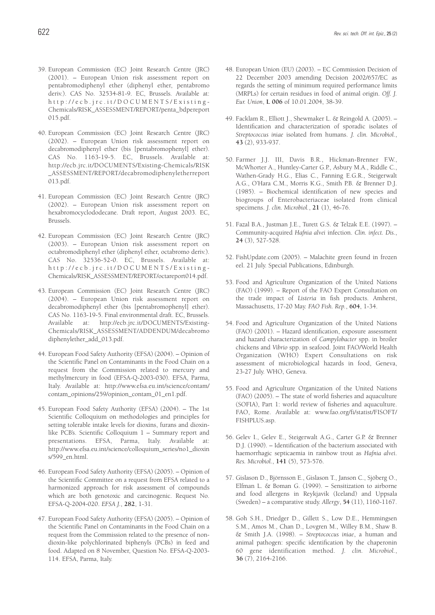- 39. European Commission (EC) Joint Research Centre (JRC) (2001). – European Union risk assessment report on pentabromodiphenyl ether (diphenyl ether, pentabromo deriv.). CAS No. 32534-81-9. EC, Brussels. Available at: http://ecb.jrc.it/DOCUMENTS/Existing-Chemicals/RISK\_ASSESSMENT/REPORT/penta\_bdpereport 015.pdf.
- 40. European Commission (EC) Joint Research Centre (JRC) (2002). – European Union risk assessment report on decabromodiphenyl ether (bis [pentabromophenyl] ether). CAS No. 1163-19-5. EC, Brussels. Available at: http://ecb.jrc.it/DOCUMENTS/Existing-Chemicals/RISK \_ASSESSMENT/REPORT/decabromodiphenyletherreport 013.pdf.
- 41. European Commission (EC) Joint Research Centre (JRC) (2002). – European Union risk assessment report on hexabromocyclododecane. Draft report, August 2003. EC, Brussels.
- 42. European Commission (EC) Joint Research Centre (JRC) (2003). – European Union risk assessment report on octabromodiphenyl ether (diphenyl ether, octabromo deriv.). CAS No. 32536-52-0. EC, Brussels. Available at: http://ecb.jrc.it/DOCUMENTS/Existing-Chemicals/RISK\_ASSESSMENT/REPORT/octareport014.pdf.
- 43. European Commission (EC) Joint Research Centre (JRC) (2004). – European Union risk assessment report on decabromodiphenyl ether (bis [pentabromophenyl] ether). CAS No. 1163-19-5. Final environmental draft. EC, Brussels. Available at: http://ecb.jrc.it/DOCUMENTS/Existing-Chemicals/RISK\_ASSESSMENT/ADDENDUM/decabromo diphenylether\_add\_013.pdf.
- 44. European Food Safety Authority (EFSA) (2004). Opinion of the Scientific Panel on Contaminants in the Food Chain on a request from the Commission related to mercury and methylmercury in food (EFSA-Q-2003-030). EFSA, Parma, Italy. Available at: http://www.efsa.eu.int/science/contam/ contam\_opinions/259/opinion\_contam\_01\_en1.pdf.
- 45. European Food Safety Authority (EFSA) (2004). The 1st Scientific Colloquium on methodologies and principles for setting tolerable intake levels for dioxins, furans and dioxinlike PCB's. Scientific Colloquium 1 – Summary report and presentations. EFSA, Parma, Italy. Available at: http://www.efsa.eu.int/science/colloquium\_series/no1\_dioxin s/599\_en.html.
- 46. European Food Safety Authority (EFSA) (2005). Opinion of the Scientific Committee on a request from EFSA related to a harmonized approach for risk assessment of compounds which are both genotoxic and carcinogenic. Request No. EFSA-Q-2004-020. *EFSA J.*, **282**, 1-31.
- 47. European Food Safety Authority (EFSA) (2005). Opinion of the Scientific Panel on Contaminants in the Food Chain on a request from the Commission related to the presence of nondioxin-like polychlorinated biphenyls (PCBs) in feed and food. Adapted on 8 November, Question No. EFSA-Q-2003- 114. EFSA, Parma, Italy.
- 48. European Union (EU) (2003). EC Commission Decision of 22 December 2003 amending Decision 2002/657/EC as regards the setting of minimum required performance limits (MRPLs) for certain residues in food of animal origin. *Off. J. Eur. Union*, **L 006** of 10.01.2004, 38-39.
- 49. Facklam R., Elliott J., Shewmaker L. & Reingold A. (2005). Identification and characterization of sporadic isolates of *Streptococcus iniae* isolated from humans. *J. clin. Microbiol.*, **43** (2), 933-937.
- 50. Farmer J.J. III, Davis B.R., Hickman-Brenner F.W., McWhorter A., Huntley-Carter G.P., Asbury M.A., Riddle C., Wathen-Grady H.G., Elias C., Fanning E.G.R., Steigerwalt A.G., O'Hara C.M., Morris K.G., Smith P.B. & Brenner D.J. (1985). – Biochemical identification of new species and biogroups of Enterobacteriaceae isolated from clinical specimens. *J. clin. Microbiol.*, **21** (1), 46-76.
- 51. Fazal B.A., Justman J.E., Turett G.S. & Telzak E.E. (1997). Community-acquired *Hafnia alvei* infection. *Clin. infect. Dis.*, **24** (3), 527-528.
- 52. FishUpdate.com (2005). Malachite green found in frozen eel. 21 July. Special Publications, Edinburgh.
- 53. Food and Agriculture Organization of the United Nations (FAO) (1999). – Report of the FAO Expert Consultation on the trade impact of *Listeria* in fish products. Amherst, Massachusetts, 17-20 May. *FAO Fish. Rep.*, **604**, 1-34.
- 54. Food and Agriculture Organization of the United Nations (FAO) (2001). – Hazard identification, exposure assessment and hazard characterization of *Campylobacter* spp. in broiler chickens and *Vibrio* spp. in seafood. Joint FAO/World Health Organization (WHO) Expert Consultations on risk assessment of microbiological hazards in food, Geneva, 23-27 July. WHO, Geneva.
- 55. Food and Agriculture Organization of the United Nations (FAO) (2005). – The state of world fisheries and aquaculture (SOFIA), Part 1: world review of fisheries and aquaculture. FAO, Rome. Available at: www.fao.org/fi/statist/FISOFT/ FISHPLUS.asp.
- 56. Gelev I., Gelev E., Steigerwalt A.G., Carter G.P. & Brenner D.J. (1990). – Identification of the bacterium associated with haemorrhagic septicaemia in rainbow trout as *Hafnia alvei*. *Res. Microbiol.*, **141** (5), 573-576.
- 57. Gislason D., Björnsson E., Gislason T., Janson C., Sjöberg O., Elfman L. & Boman G. (1999). – Sensitization to airborne and food allergens in Reykjavik (Iceland) and Uppsala (Sweden) – a comparative study. *Allergy*, **54** (11), 1160-1167.
- 58. Goh S.H., Driedger D., Gillett S., Low D.E., Hemmingsen S.M., Amos M., Chan D., Lovgren M., Willey B.M., Shaw B. & Smith J.A. (1998). – *Streptococcus iniae*, a human and animal pathogen: specific identification by the chaperonin 60 gene identification method. *J. clin. Microbiol.*, **36** (7), 2164-2166.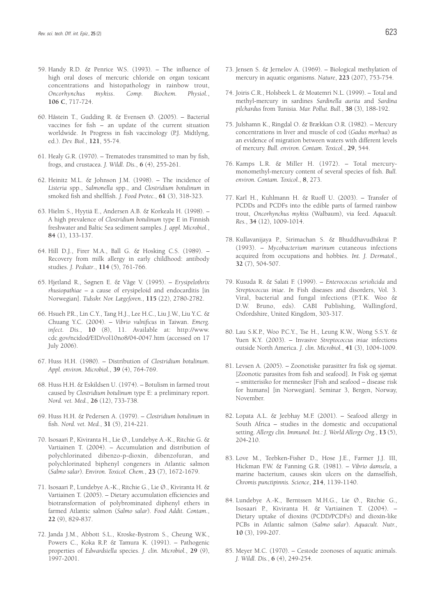- 59. Handy R.D. & Penrice W.S. (1993). The influence of high oral doses of mercuric chloride on organ toxicant concentrations and histopathology in rainbow trout, *Oncorhynchus mykiss*. *Comp. Biochem. Physiol.*, **106 C**, 717-724.
- 60. Håstein T., Gudding R. & Evensen Ø. (2005). Bacterial vaccines for fish – an update of the current situation worldwide. *In* Progress in fish vaccinology (P.J. Midtlyng, ed.). *Dev. Biol.*, **121**, 55-74.
- 61. Healy G.R. (1970). Trematodes transmitted to man by fish, frogs, and crustacea. *J. Wildl. Dis.*, **6** (4), 255-261.
- 62. Heinitz M.L. & Johnson J.M. (1998). The incidence of *Listeria* spp., *Salmonella* spp., and *Clostridium botulinum* in smoked fish and shellfish. *J. Food Protec.*, **61** (3), 318-323.
- 63. Hielm S., Hyytiä E., Andersen A.B. & Korkeala H. (1998). A high prevalence of *Clostridium botulinum* type E in Finnish freshwater and Baltic Sea sediment samples. *J. appl. Microbiol.*, **84** (1), 133-137.
- 64. Hill D.J., Firer M.A., Ball G. & Hosking C.S. (1989). Recovery from milk allergy in early childhood: antibody studies. *J. Pediatr*., **114** (5), 761-766.
- 65. Hjetland R., Søgnen E. & Våge V. (1995). *Erysipelothrix rhusiopathiae* – a cause of erysipeloid and endocarditis [in Norwegian]. *Tidsskr. Nor. Lægeforen.*, **115** (22), 2780-2782.
- 66. Hsueh P.R., Lin C.Y., Tang H.J., Lee H.C., Liu J.W., Liu Y.C. & Chuang Y.C. (2004). – *Vibrio vulnificus* in Taiwan. *Emerg. infect. Dis.*, **10** (8), 11. Available at: http://www. cdc.gov/ncidod/EID/vol10no8/04-0047.htm (accessed on 17 July 2006).
- 67. Huss H.H. (1980). Distribution of *Clostridium botulinum*. *Appl. environ. Microbiol.*, **39** (4), 764-769.
- 68. Huss H.H. & Eskildsen U. (1974). Botulism in farmed trout caused by *Clostridium botulinum* type E: a preliminary report. *Nord. vet. Med.*, **26** (12), 733-738.
- 69. Huss H.H. & Pedersen A. (1979). *Clostridium botulinum* in fish. *Nord. vet. Med.*, **31** (5), 214-221.
- 70. Isosaari P., Kiviranta H., Lie Ø., Lundebye A.-K., Ritchie G. & Vartiainen T. (2004). – Accumulation and distribution of polychlorinated dibenzo-p-dioxin, dibenzofuran, and polychlorinated biphenyl congeners in Atlantic salmon (*Salmo salar*). *Environ. Toxicol. Chem.*, **23** (7), 1672-1679.
- 71. Isosaari P., Lundebye A.-K., Ritchie G., Lie Ø., Kiviranta H. & Vartiainen T. (2005). – Dietary accumulation efficiencies and biotransformation of polybrominated diphenyl ethers in farmed Atlantic salmon (*Salmo salar*). *Food Addit. Contam.*, **22** (9), 829-837.
- 72. Janda J.M., Abbott S.L., Kroske-Bystrom S., Cheung W.K., Powers C., Koka R.P. & Tamura K. (1991). – Pathogenic properties of *Edwardsiella* species. *J. clin. Microbiol.*, **29** (9), 1997-2001.
- 73. Jensen S. & Jernelov A. (1969). Biological methylation of mercury in aquatic organisms. *Nature*, **223** (207), 753-754.
- 74. Joiris C.R., Holsbeek L. & Moatemri N.L. (1999). Total and methyl-mercury in sardines *Sardinella aurita* and *Sardina pilchardus* from Tunisia. *Mar. Pollut. Bull.*, **38** (3), 188-192.
- 75. Julshamn K., Ringdal O. & Brækkan O.R. (1982). Mercury concentrations in liver and muscle of cod (*Gadus morhua*) as an evidence of migration between waters with different levels of mercury. *Bull. environ. Contam. Toxicol.*, **29**, 544.
- 76. Kamps L.R. & Miller H. (1972). Total mercurymonomethyl-mercury content of several species of fish. *Bull. environ. Contam. Toxicol.*, **8**, 273.
- 77. Karl H., Kuhlmann H. & Ruoff U. (2003). Transfer of PCDDs and PCDFs into the edible parts of farmed rainbow trout, *Oncorhynchus mykiss* (Walbaum), via feed. *Aquacult. Res.*, **34** (12), 1009-1014.
- 78. Kullavanijaya P., Sirimachan S. & Bhuddhavudhikrai P. (1993). – *Mycobacterium marinum* cutaneous infections acquired from occupations and hobbies. *Int. J. Dermatol.*, **32** (7), 504-507.
- 79. Kusuda R. & Salati F. (1999). *Enterococcus seriolicida* and *Streptococcus iniae*. *In* Fish diseases and disorders, Vol. 3. Viral, bacterial and fungal infections (P.T.K. Woo & D.W. Bruno, eds). CABI Publishing, Wallingford, Oxfordshire, United Kingdom, 303-317.
- 80. Lau S.K.P., Woo P.C.Y., Tse H., Leung K.W., Wong S.S.Y. & Yuen K.Y. (2003). – Invasive *Streptococcus iniae* infections outside North America. *J. clin. Microbiol.*, **41** (3), 1004-1009.
- 81. Levsen A. (2005). Zoonotiske parasitter fra fisk og sjømat. [Zoonotic parasites from fish and seafood]. *In* Fisk og sjømat – smitterisiko for mennesker [Fish and seafood – disease risk for humans] [in Norwegian]. Seminar 3, Bergen, Norway, November.
- 82. Lopata A.L. & Jeebhay M.F. (2001). Seafood allergy in South Africa – studies in the domestic and occupational setting. *Allergy clin. Immunol. Int.: J. World Allergy Org.*, **13** (5), 204-210.
- 83. Love M., Teebken-Fisher D., Hose J.E., Farmer J.J. III, Hickman F.W. & Fanning G.R. (1981). – *Vibrio damsela*, a marine bacterium, causes skin ulcers on the damselfish, *Chromis punctipinnis. Science*, **214**, 1139-1140.
- 84. Lundebye A.-K., Berntssen M.H.G., Lie Ø., Ritchie G., Isosaari P., Kiviranta H. & Vartiainen T. (2004). – Dietary uptake of dioxins (PCDD/PCDFs) and dioxin-like PCBs in Atlantic salmon (*Salmo salar*). *Aquacult. Nutr.*, **10** (3), 199-207.
- 85. Meyer M.C. (1970). Cestode zoonoses of aquatic animals. *J. Wildl. Dis.*, **6** (4), 249-254.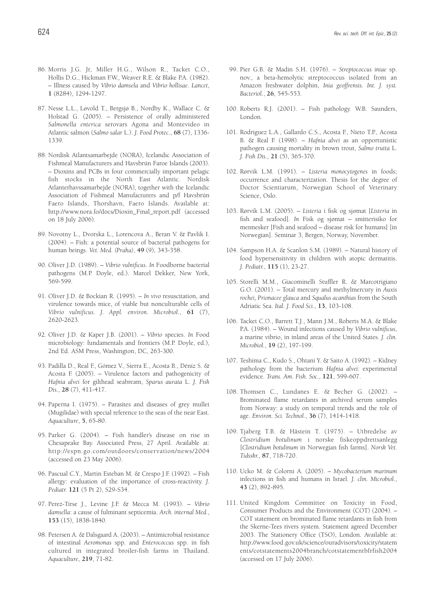- 86. Morris J.G. Jr, Miller H.G., Wilson R., Tacket C.O., Hollis D.G., Hickman F.W., Weaver R.E. & Blake P.A. (1982). – Illness caused by *Vibrio damsela* and *Vibrio hollisae*. *Lancet*, **1** (8284), 1294-1297.
- 87. Nesse L.L., Løvold T., Bergsjø B., Nordby K., Wallace C. & Holstad G. (2005). – Persistence of orally administered *Salmonella enterica* serovars Agona and Montevideo in Atlantic salmon (*Salmo salar* L.). *J. Food Protec.*, **68** (7), 1336- 1339.
- 88. Nordisk Atlantsamarbejde (NORA), Icelandic Association of Fishmeal Manufacturers and Havsbrún Faroe Islands (2003). – Dioxins and PCBs in four commercially important pelagic fish stocks in the North East Atlantic. Nordisk Atlanterhavssamarbejde (NORA), together with the Icelandic Association of Fishmeal Manufacturers and p/f Havsbrún Faero Islands, Thorshavn, Faero Islands. Available at: http://www.nora.fo/docs/Dioxin\_Final\_report.pdf (accessed on 18 July 2006).
- 89. Novotny L., Dvorska L., Lorencova A., Beran V. & Pavlik I. (2004). – Fish: a potential source of bacterial pathogens for human beings. *Vet. Med. (Praha)*, **49** (9), 343-358.
- 90. Oliver J.D. (1989). *Vibrio vulnificus*. *In* Foodborne bacterial pathogens (M.P. Doyle, ed.). Marcel Dekker, New York, 569-599.
- 91. Oliver J.D. & Bockian R. (1995). *In vivo* resuscitation, and virulence towards mice, of viable but nonculturable cells of *Vibrio vulnificus. J. Appl. environ. Microbiol.*, **61** (7), 2620-2623.
- 92. Oliver J.D. & Kaper J.B. (2001). *Vibrio* species. *In* Food microbiology: fundamentals and frontiers (M.P. Doyle, ed.), 2nd Ed. ASM Press, Washington, DC, 263-300.
- 93. Padilla D., Real F., Gómez V., Sierra E., Acosta B., Déniz S. & Acosta F. (2005). – Virulence factors and pathogenicity of *Hafnia alvei* for gilthead seabream, *Sparus aurata* L. *J. Fish Dis.*, **28** (7), 411-417.
- 94. Paperna I. (1975). Parasites and diseases of grey mullet (Mugilidae) with special reference to the seas of the near East. *Aquaculture*, **5**, 65-80.
- 95. Parker G. (2004). Fish handler's disease on rise in Chesapeake Bay. Associated Press, 27 April. Available at: http://espn.go.com/outdoors/conservation/news/2004 (accessed on 23 May 2006).
- 96. Pascual C.Y., Martin Esteban M. & Crespo J.F. (1992). Fish allergy: evaluation of the importance of cross-reactivity. *J. Pediatr.* **121** (5 Pt 2), S29-S34.
- 97. Perez-Tirse J., Levine J.F. & Mecca M. (1993). *Vibrio damsella*: a cause of fulminant septicemia. *Arch. internal Med.*, **153** (15), 1838-1840.
- 98. Petersen A. & Dalsgaard A. (2003). Antimicrobial resistance of intestinal *Aeromonas* spp. and *Enterococcus* spp. in fish cultured in integrated broiler-fish farms in Thailand. *Aquaculture*, **219**, 71-82.
- 99. Pier G.B. & Madin S.H. (1976). *Streptococcus iniae* sp. nov., a beta-hemolytic streptococcus isolated from an Amazon freshwater dolphin, *Inia geoffrensis. Int. J. syst. Bacteriol.*, **26**, 545-553.
- 100. Roberts R.J. (2001). Fish pathology. W.B. Saunders, London.
- 101. Rodriguez L.A., Gallardo C.S., Acosta F., Nieto T.P., Acosta B. & Real F. (1998). – *Hafnia alvei* as an opportunistic pathogen causing mortality in brown trout, *Salmo trutta* L. *J. Fish Dis.*, **21** (5), 365-370.
- 102. Rørvik L.M. (1991). *Listeria monocytogenes* in foods; occurrence and characterization. Thesis for the degree of Doctor Scientiarum, Norwegian School of Veterinary Science, Oslo.
- 103. Rørvik L.M. (2005). *Listeria* i fisk og sjømat [*Listeria* in fish and seafood]. *In* Fisk og sjømat – smitterisiko for mennesker [Fish and seafood – disease risk for humans] [in Norwegian]. Seminar 3, Bergen, Norway, November.
- 104. Sampson H.A. & Scanlon S.M. (1989). Natural history of food hypersensitivity in children with atopic dermatitis. *J. Pediatr.*, **115** (1), 23-27.
- 105. Storelli M.M., Giacominelli Stuffler R. & Marcotrigiano G.O. (2001). – Total mercury and methylmercury in *Auxis rochei, Prionacee glauca* and *Squalus acanthias* from the South Adriatic Sea. *Ital. J. Food Sci.*, **13**, 103-108.
- 106. Tacket C.O., Barrett T.J., Mann J.M., Roberts M.A. & Blake P.A. (1984). – Wound infections caused by *Vibrio vulnificus*, a marine vibrio, in inland areas of the United States. *J. clin. Microbiol.*, **19** (2), 197-199.
- 107. Teshima C., Kudo S., Ohtani Y. & Saito A. (1992). Kidney pathology from the bacterium *Hafnia alvei*: experimental evidence. *Trans. Am. Fish. Soc.*, **121**, 599-607.
- 108. Thomsen C., Lundanes E. & Becher G. (2002). Brominated flame retardants in archived serum samples from Norway: a study on temporal trends and the role of age. *Environ. Sci. Technol.*, **36** (7), 1414-1418.
- 109. Tjaberg T.B. & Håstein T. (1975). Utbredelse av *Clostridium botulinum* i norske fiskeoppdrettsanlegg [*Clostridium botulinum* in Norwegian fish farms]. *Norsk Vet. Tidsskr.*, **87**, 718-720.
- 110. Ucko M. & Colorni A. (2005). *Mycobacterium marinum* infections in fish and humans in Israel. *J. clin. Microbiol.*, **43** (2), 892-895.
- 111. United Kingdom Committee on Toxicity in Food, Consumer Products and the Environment (COT) (2004). – COT statement on brominated flame retardants in fish from the Skerne-Tees rivers system. Statement agreed December 2003. The Stationery Office (TSO), London. Available at: http://www.food.gov.uk/science/ouradvisors/toxicity/statem ents/cotstatements2004branch/cotstatementbfrfish2004 (accessed on 17 July 2006).